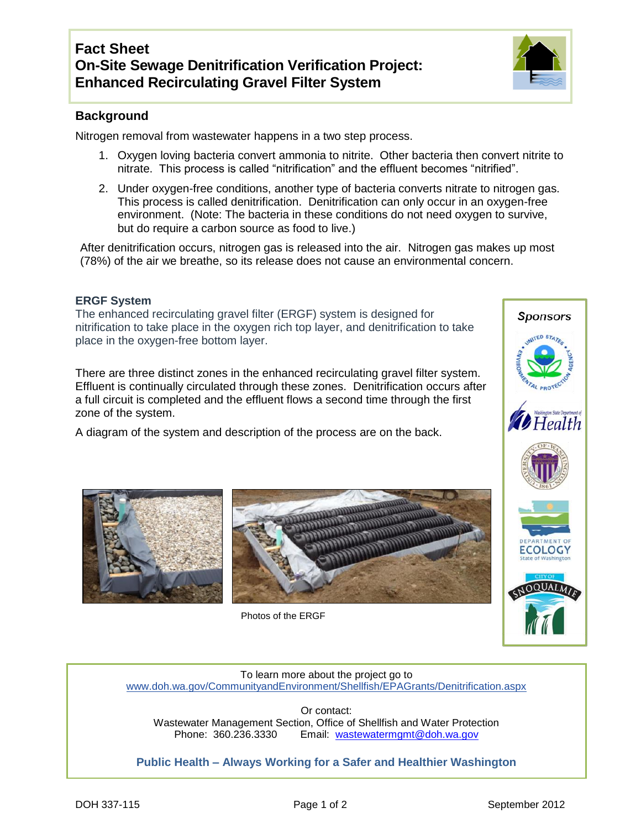

## **Background**

Nitrogen removal from wastewater happens in a two step process.

- 1. Oxygen loving bacteria convert ammonia to nitrite. Other bacteria then convert nitrite to nitrate. This process is called "nitrification" and the effluent becomes "nitrified".
- 2. Under oxygen-free conditions, another type of bacteria converts nitrate to nitrogen gas. This process is called denitrification. Denitrification can only occur in an oxygen-free environment. (Note: The bacteria in these conditions do not need oxygen to survive, but do require a carbon source as food to live.)

After denitrification occurs, nitrogen gas is released into the air. Nitrogen gas makes up most (78%) of the air we breathe, so its release does not cause an environmental concern.

## **ERGF System**

The enhanced recirculating gravel filter (ERGF) system is designed for nitrification to take place in the oxygen rich top layer, and denitrification to take place in the oxygen-free bottom layer.

There are three distinct zones in the enhanced recirculating gravel filter system. Effluent is continually circulated through these zones. Denitrification occurs after a full circuit is completed and the effluent flows a second time through the first zone of the system.

A diagram of the system and description of the process are on the back.





Photos of the ERGF



**Sponsors** 

To learn more about the project go to [www.doh.wa.gov/CommunityandEnvironment/Shellfish/EPAGrants/Denitrification.aspx](http://www.doh.wa.gov/CommunityandEnvironment/Shellfish/EPAGrants/Denitrification.aspx)

Or contact: Wastewater Management Section, Office of Shellfish and Water Protection Phone: 360.236.3330 Email: [wastewatermgmt@doh.wa.gov](mailto:wastewatermgmt@doh.wa.gov)

**Public Health – Always Working for a Safer and Healthier Washington**